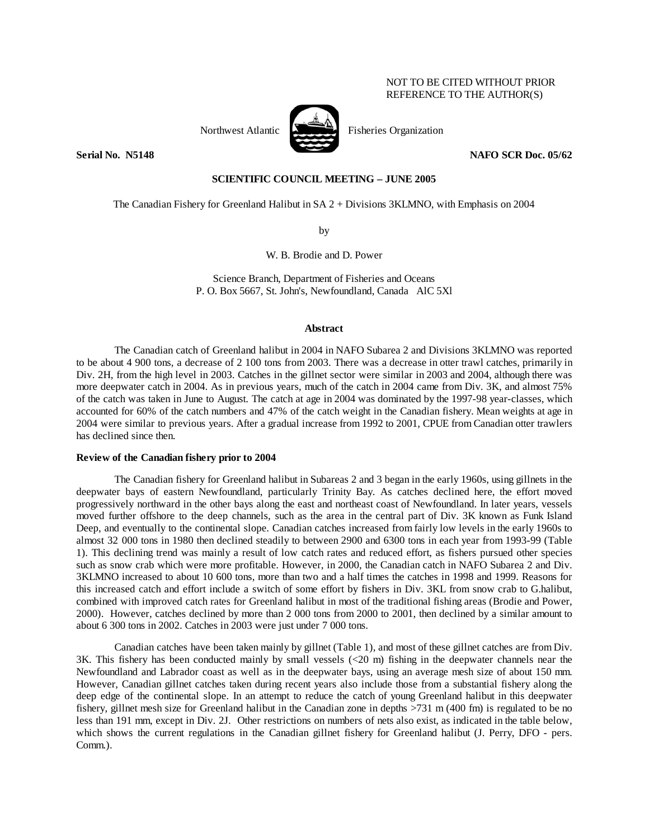# NOT TO BE CITED WITHOUT PRIOR REFERENCE TO THE AUTHOR(S)



Northwest Atlantic Fisheries Organization

**Serial No. N5148** NAFO SCR Doc. 05/62

# **SCIENTIFIC COUNCIL MEETING – JUNE 2005**

The Canadian Fishery for Greenland Halibut in SA 2 + Divisions 3KLMNO, with Emphasis on 2004

by

W. B. Brodie and D. Power

Science Branch, Department of Fisheries and Oceans P. O. Box 5667, St. John's, Newfoundland, Canada AlC 5Xl

#### **Abstract**

 The Canadian catch of Greenland halibut in 2004 in NAFO Subarea 2 and Divisions 3KLMNO was reported to be about 4 900 tons, a decrease of 2 100 tons from 2003. There was a decrease in otter trawl catches, primarily in Div. 2H, from the high level in 2003. Catches in the gillnet sector were similar in 2003 and 2004, although there was more deepwater catch in 2004. As in previous years, much of the catch in 2004 came from Div. 3K, and almost 75% of the catch was taken in June to August. The catch at age in 2004 was dominated by the 1997-98 year-classes, which accounted for 60% of the catch numbers and 47% of the catch weight in the Canadian fishery. Mean weights at age in 2004 were similar to previous years. After a gradual increase from 1992 to 2001, CPUE from Canadian otter trawlers has declined since then.

#### **Review of the Canadian fishery prior to 2004**

 The Canadian fishery for Greenland halibut in Subareas 2 and 3 began in the early 1960s, using gillnets in the deepwater bays of eastern Newfoundland, particularly Trinity Bay. As catches declined here, the effort moved progressively northward in the other bays along the east and northeast coast of Newfoundland. In later years, vessels moved further offshore to the deep channels, such as the area in the central part of Div. 3K known as Funk Island Deep, and eventually to the continental slope. Canadian catches increased from fairly low levels in the early 1960s to almost 32 000 tons in 1980 then declined steadily to between 2900 and 6300 tons in each year from 1993-99 (Table 1). This declining trend was mainly a result of low catch rates and reduced effort, as fishers pursued other species such as snow crab which were more profitable. However, in 2000, the Canadian catch in NAFO Subarea 2 and Div. 3KLMNO increased to about 10 600 tons, more than two and a half times the catches in 1998 and 1999. Reasons for this increased catch and effort include a switch of some effort by fishers in Div. 3KL from snow crab to G.halibut, combined with improved catch rates for Greenland halibut in most of the traditional fishing areas (Brodie and Power, 2000). However, catches declined by more than 2 000 tons from 2000 to 2001, then declined by a similar amount to about 6 300 tons in 2002. Catches in 2003 were just under 7 000 tons.

 Canadian catches have been taken mainly by gillnet (Table 1), and most of these gillnet catches are from Div. 3K. This fishery has been conducted mainly by small vessels (<20 m) fishing in the deepwater channels near the Newfoundland and Labrador coast as well as in the deepwater bays, using an average mesh size of about 150 mm. However, Canadian gillnet catches taken during recent years also include those from a substantial fishery along the deep edge of the continental slope. In an attempt to reduce the catch of young Greenland halibut in this deepwater fishery, gillnet mesh size for Greenland halibut in the Canadian zone in depths  $>731$  m (400 fm) is regulated to be no less than 191 mm, except in Div. 2J. Other restrictions on numbers of nets also exist, as indicated in the table below, which shows the current regulations in the Canadian gillnet fishery for Greenland halibut (J. Perry, DFO - pers. Comm.).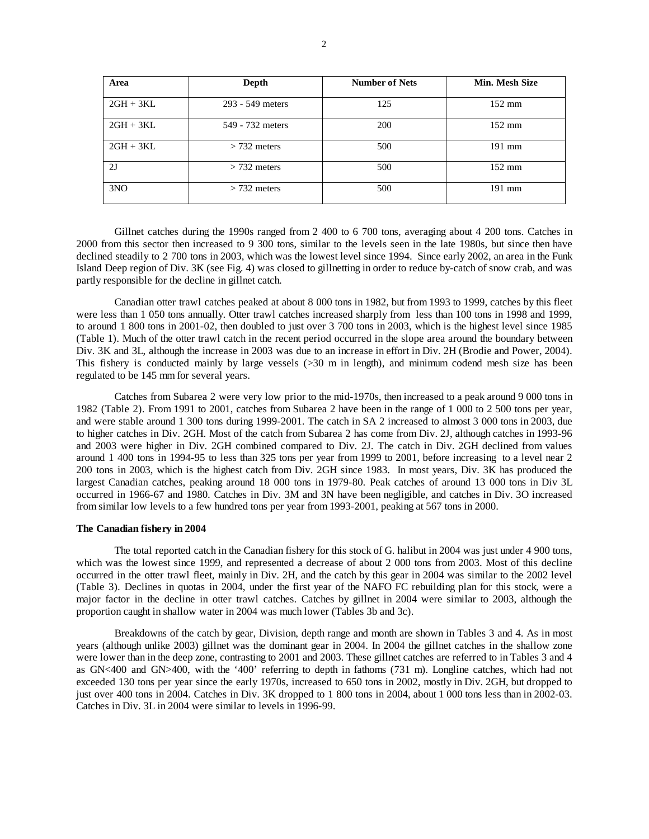| Area        | Depth            | <b>Number of Nets</b> | Min. Mesh Size   |
|-------------|------------------|-----------------------|------------------|
| $2GH + 3KL$ | 293 - 549 meters | 125                   | $152 \text{ mm}$ |
| $2GH + 3KL$ | 549 - 732 meters | 200                   | $152 \text{ mm}$ |
| $2GH + 3KL$ | $> 732$ meters   | 500                   | 191 mm           |
| 2J          | $> 732$ meters   | 500                   | $152 \text{ mm}$ |
| 3NO         | $>$ 732 meters   | 500                   | 191 mm           |

 Gillnet catches during the 1990s ranged from 2 400 to 6 700 tons, averaging about 4 200 tons. Catches in 2000 from this sector then increased to 9 300 tons, similar to the levels seen in the late 1980s, but since then have declined steadily to 2 700 tons in 2003, which was the lowest level since 1994. Since early 2002, an area in the Funk Island Deep region of Div. 3K (see Fig. 4) was closed to gillnetting in order to reduce by-catch of snow crab, and was partly responsible for the decline in gillnet catch.

 Canadian otter trawl catches peaked at about 8 000 tons in 1982, but from 1993 to 1999, catches by this fleet were less than 1 050 tons annually. Otter trawl catches increased sharply from less than 100 tons in 1998 and 1999, to around 1 800 tons in 2001-02, then doubled to just over 3 700 tons in 2003, which is the highest level since 1985 (Table 1). Much of the otter trawl catch in the recent period occurred in the slope area around the boundary between Div. 3K and 3L, although the increase in 2003 was due to an increase in effort in Div. 2H (Brodie and Power, 2004). This fishery is conducted mainly by large vessels (>30 m in length), and minimum codend mesh size has been regulated to be 145 mm for several years.

 Catches from Subarea 2 were very low prior to the mid-1970s, then increased to a peak around 9 000 tons in 1982 (Table 2). From 1991 to 2001, catches from Subarea 2 have been in the range of 1 000 to 2 500 tons per year, and were stable around 1 300 tons during 1999-2001. The catch in SA 2 increased to almost 3 000 tons in 2003, due to higher catches in Div. 2GH. Most of the catch from Subarea 2 has come from Div. 2J, although catches in 1993-96 and 2003 were higher in Div. 2GH combined compared to Div. 2J. The catch in Div. 2GH declined from values around 1 400 tons in 1994-95 to less than 325 tons per year from 1999 to 2001, before increasing to a level near 2 200 tons in 2003, which is the highest catch from Div. 2GH since 1983. In most years, Div. 3K has produced the largest Canadian catches, peaking around 18 000 tons in 1979-80. Peak catches of around 13 000 tons in Div 3L occurred in 1966-67 and 1980. Catches in Div. 3M and 3N have been negligible, and catches in Div. 3O increased from similar low levels to a few hundred tons per year from 1993-2001, peaking at 567 tons in 2000.

#### **The Canadian fishery in 2004**

 The total reported catch in the Canadian fishery for this stock of G. halibut in 2004 was just under 4 900 tons, which was the lowest since 1999, and represented a decrease of about 2 000 tons from 2003. Most of this decline occurred in the otter trawl fleet, mainly in Div. 2H, and the catch by this gear in 2004 was similar to the 2002 level (Table 3). Declines in quotas in 2004, under the first year of the NAFO FC rebuilding plan for this stock, were a major factor in the decline in otter trawl catches. Catches by gillnet in 2004 were similar to 2003, although the proportion caught in shallow water in 2004 was much lower (Tables 3b and 3c).

 Breakdowns of the catch by gear, Division, depth range and month are shown in Tables 3 and 4. As in most years (although unlike 2003) gillnet was the dominant gear in 2004. In 2004 the gillnet catches in the shallow zone were lower than in the deep zone, contrasting to 2001 and 2003. These gillnet catches are referred to in Tables 3 and 4 as GN<400 and GN>400, with the '400' referring to depth in fathoms (731 m). Longline catches, which had not exceeded 130 tons per year since the early 1970s, increased to 650 tons in 2002, mostly in Div. 2GH, but dropped to just over 400 tons in 2004. Catches in Div. 3K dropped to 1 800 tons in 2004, about 1 000 tons less than in 2002-03. Catches in Div. 3L in 2004 were similar to levels in 1996-99.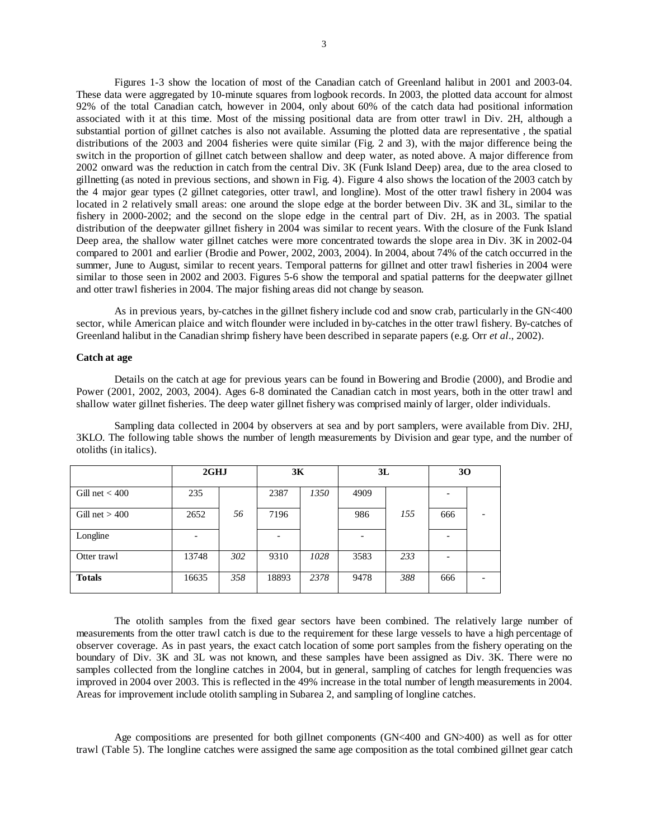Figures 1-3 show the location of most of the Canadian catch of Greenland halibut in 2001 and 2003-04. These data were aggregated by 10-minute squares from logbook records. In 2003, the plotted data account for almost 92% of the total Canadian catch, however in 2004, only about 60% of the catch data had positional information associated with it at this time. Most of the missing positional data are from otter trawl in Div. 2H, although a substantial portion of gillnet catches is also not available. Assuming the plotted data are representative , the spatial distributions of the 2003 and 2004 fisheries were quite similar (Fig. 2 and 3), with the major difference being the switch in the proportion of gillnet catch between shallow and deep water, as noted above. A major difference from 2002 onward was the reduction in catch from the central Div. 3K (Funk Island Deep) area, due to the area closed to gillnetting (as noted in previous sections, and shown in Fig. 4). Figure 4 also shows the location of the 2003 catch by the 4 major gear types (2 gillnet categories, otter trawl, and longline). Most of the otter trawl fishery in 2004 was located in 2 relatively small areas: one around the slope edge at the border between Div. 3K and 3L, similar to the fishery in 2000-2002; and the second on the slope edge in the central part of Div. 2H, as in 2003. The spatial distribution of the deepwater gillnet fishery in 2004 was similar to recent years. With the closure of the Funk Island Deep area, the shallow water gillnet catches were more concentrated towards the slope area in Div. 3K in 2002-04 compared to 2001 and earlier (Brodie and Power, 2002, 2003, 2004). In 2004, about 74% of the catch occurred in the summer, June to August, similar to recent years. Temporal patterns for gillnet and otter trawl fisheries in 2004 were similar to those seen in 2002 and 2003. Figures 5-6 show the temporal and spatial patterns for the deepwater gillnet and otter trawl fisheries in 2004. The major fishing areas did not change by season.

 As in previous years, by-catches in the gillnet fishery include cod and snow crab, particularly in the GN<400 sector, while American plaice and witch flounder were included in by-catches in the otter trawl fishery. By-catches of Greenland halibut in the Canadian shrimp fishery have been described in separate papers (e.g. Orr *et al*., 2002).

## **Catch at age**

 Details on the catch at age for previous years can be found in Bowering and Brodie (2000), and Brodie and Power (2001, 2002, 2003, 2004). Ages 6-8 dominated the Canadian catch in most years, both in the otter trawl and shallow water gillnet fisheries. The deep water gillnet fishery was comprised mainly of larger, older individuals.

 Sampling data collected in 2004 by observers at sea and by port samplers, were available from Div. 2HJ, 3KLO. The following table shows the number of length measurements by Division and gear type, and the number of otoliths (in italics).

|                  | 2GHJ       |     | 3K    |      | 3L   |     | 30  |  |
|------------------|------------|-----|-------|------|------|-----|-----|--|
| Gill net $<$ 400 | 235        |     | 2387  | 1350 | 4909 |     |     |  |
| Gill net $> 400$ | 56<br>2652 |     | 7196  | 986  |      | 155 | 666 |  |
| Longline         |            |     |       |      |      |     |     |  |
| Otter trawl      | 13748      | 302 | 9310  | 1028 | 3583 | 233 |     |  |
| <b>Totals</b>    | 16635      | 358 | 18893 | 2378 | 9478 | 388 | 666 |  |

 The otolith samples from the fixed gear sectors have been combined. The relatively large number of measurements from the otter trawl catch is due to the requirement for these large vessels to have a high percentage of observer coverage. As in past years, the exact catch location of some port samples from the fishery operating on the boundary of Div. 3K and 3L was not known, and these samples have been assigned as Div. 3K. There were no samples collected from the longline catches in 2004, but in general, sampling of catches for length frequencies was improved in 2004 over 2003. This is reflected in the 49% increase in the total number of length measurements in 2004. Areas for improvement include otolith sampling in Subarea 2, and sampling of longline catches.

Age compositions are presented for both gillnet components (GN<400 and GN>400) as well as for otter trawl (Table 5). The longline catches were assigned the same age composition as the total combined gillnet gear catch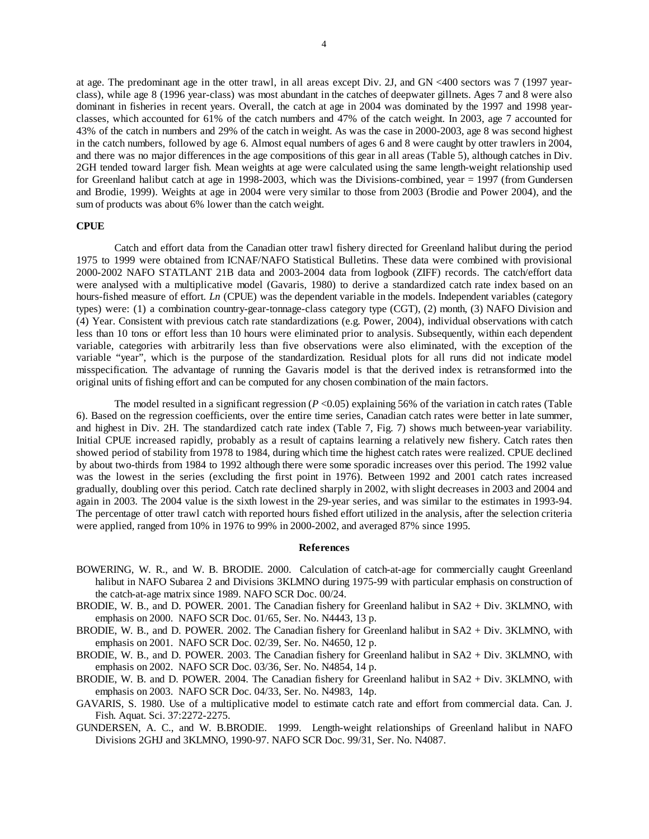at age. The predominant age in the otter trawl, in all areas except Div. 2J, and GN <400 sectors was 7 (1997 yearclass), while age 8 (1996 year-class) was most abundant in the catches of deepwater gillnets. Ages 7 and 8 were also dominant in fisheries in recent years. Overall, the catch at age in 2004 was dominated by the 1997 and 1998 yearclasses, which accounted for 61% of the catch numbers and 47% of the catch weight. In 2003, age 7 accounted for 43% of the catch in numbers and 29% of the catch in weight. As was the case in 2000-2003, age 8 was second highest in the catch numbers, followed by age 6. Almost equal numbers of ages 6 and 8 were caught by otter trawlers in 2004, and there was no major differences in the age compositions of this gear in all areas (Table 5), although catches in Div. 2GH tended toward larger fish. Mean weights at age were calculated using the same length-weight relationship used for Greenland halibut catch at age in 1998-2003, which was the Divisions-combined, year = 1997 (from Gundersen and Brodie, 1999). Weights at age in 2004 were very similar to those from 2003 (Brodie and Power 2004), and the sum of products was about 6% lower than the catch weight.

## **CPUE**

 Catch and effort data from the Canadian otter trawl fishery directed for Greenland halibut during the period 1975 to 1999 were obtained from ICNAF/NAFO Statistical Bulletins. These data were combined with provisional 2000-2002 NAFO STATLANT 21B data and 2003-2004 data from logbook (ZIFF) records. The catch/effort data were analysed with a multiplicative model (Gavaris, 1980) to derive a standardized catch rate index based on an hours-fished measure of effort. *Ln* (CPUE) was the dependent variable in the models. Independent variables (category types) were: (1) a combination country-gear-tonnage-class category type (CGT), (2) month, (3) NAFO Division and (4) Year. Consistent with previous catch rate standardizations (e.g. Power, 2004), individual observations with catch less than 10 tons or effort less than 10 hours were eliminated prior to analysis. Subsequently, within each dependent variable, categories with arbitrarily less than five observations were also eliminated, with the exception of the variable "year", which is the purpose of the standardization. Residual plots for all runs did not indicate model misspecification. The advantage of running the Gavaris model is that the derived index is retransformed into the original units of fishing effort and can be computed for any chosen combination of the main factors.

The model resulted in a significant regression (*P* <0.05) explaining 56% of the variation in catch rates (Table 6). Based on the regression coefficients, over the entire time series, Canadian catch rates were better in late summer, and highest in Div. 2H. The standardized catch rate index (Table 7, Fig. 7) shows much between-year variability. Initial CPUE increased rapidly, probably as a result of captains learning a relatively new fishery. Catch rates then showed period of stability from 1978 to 1984, during which time the highest catch rates were realized. CPUE declined by about two-thirds from 1984 to 1992 although there were some sporadic increases over this period. The 1992 value was the lowest in the series (excluding the first point in 1976). Between 1992 and 2001 catch rates increased gradually, doubling over this period. Catch rate declined sharply in 2002, with slight decreases in 2003 and 2004 and again in 2003. The 2004 value is the sixth lowest in the 29-year series, and was similar to the estimates in 1993-94. The percentage of otter trawl catch with reported hours fished effort utilized in the analysis, after the selection criteria were applied, ranged from 10% in 1976 to 99% in 2000-2002, and averaged 87% since 1995.

## **References**

- BOWERING, W. R., and W. B. BRODIE. 2000. Calculation of catch-at-age for commercially caught Greenland halibut in NAFO Subarea 2 and Divisions 3KLMNO during 1975-99 with particular emphasis on construction of the catch-at-age matrix since 1989. NAFO SCR Doc. 00/24.
- BRODIE, W. B., and D. POWER. 2001. The Canadian fishery for Greenland halibut in SA2 + Div. 3KLMNO, with emphasis on 2000. NAFO SCR Doc. 01/65, Ser. No. N4443, 13 p.
- BRODIE, W. B., and D. POWER. 2002. The Canadian fishery for Greenland halibut in SA2 + Div. 3KLMNO, with emphasis on 2001. NAFO SCR Doc. 02/39, Ser. No. N4650, 12 p.
- BRODIE, W. B., and D. POWER. 2003. The Canadian fishery for Greenland halibut in SA2 + Div. 3KLMNO, with emphasis on 2002. NAFO SCR Doc. 03/36, Ser. No. N4854, 14 p.
- BRODIE, W. B. and D. POWER. 2004. The Canadian fishery for Greenland halibut in SA2 + Div. 3KLMNO, with emphasis on 2003. NAFO SCR Doc. 04/33, Ser. No. N4983, 14p.
- GAVARIS, S. 1980. Use of a multiplicative model to estimate catch rate and effort from commercial data. Can. J. Fish. Aquat. Sci. 37:2272-2275.
- GUNDERSEN, A. C., and W. B.BRODIE. 1999. Length-weight relationships of Greenland halibut in NAFO Divisions 2GHJ and 3KLMNO, 1990-97. NAFO SCR Doc. 99/31, Ser. No. N4087.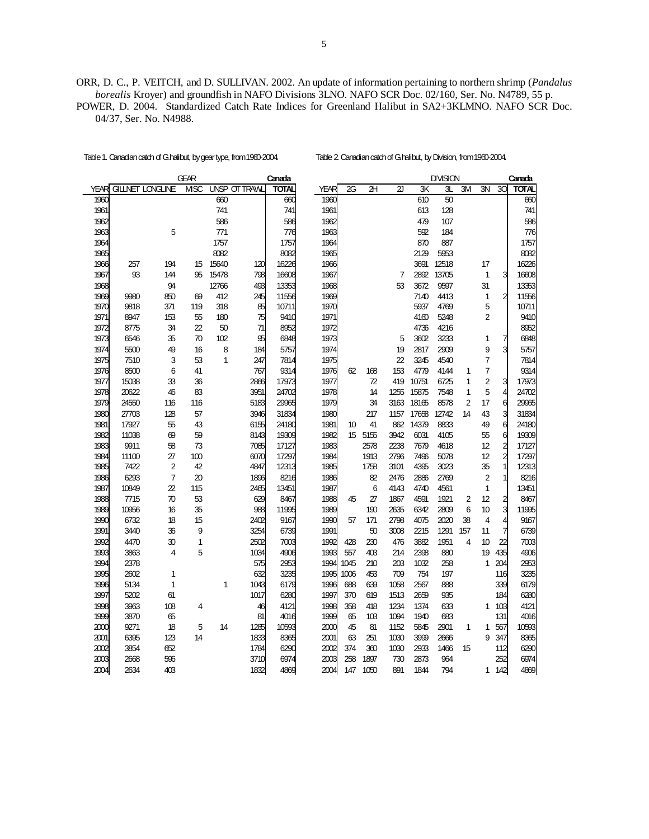ORR, D. C., P. VEITCH, and D. SULLIVAN. 2002. An update of information pertaining to northern shrimp (*Pandalus borealis* Kroyer) and groundfish in NAFO Divisions 3LNO. NAFO SCR Doc. 02/160, Ser. No. N4789, 55 p. POWER, D. 2004. Standardized Catch Rate Indices for Greenland Halibut in SA2+3KLMNO. NAFO SCR Doc. 04/37, Ser. No. N4988.

Table 1. Canadian catch of G.halibut, by gear type, from 1960-2004. Table 2. Canadian catch of G.halibut, by Division, from 1960-2004.

|              |                        |                | <b>GEAR</b> |       |                     | Canada         |              |          |              |              |              | <b>DIVISION</b> |                     |                |                         | Canada         |
|--------------|------------------------|----------------|-------------|-------|---------------------|----------------|--------------|----------|--------------|--------------|--------------|-----------------|---------------------|----------------|-------------------------|----------------|
| YEAR         | <b>GILNET LONGLINE</b> |                | <b>MSC</b>  |       | <b>UNSP OT TRAW</b> | <b>TOTAL</b>   | YEAF         | 2G       | 2H           | 2J           | 3K           | 3L              | 3M                  | 3N             | 3C                      | <b>TOTAL</b>   |
| 1960         |                        |                |             | 660   |                     | 660            | 1960         |          |              |              | 610          | 50              |                     |                |                         | 660            |
| 1961         |                        |                |             | 741   |                     | 741            | 1961         |          |              |              | 613          | 128             |                     |                |                         | 741            |
| 1962         |                        |                |             | 586   |                     | 586            | 1962         |          |              |              | 479          | 107             |                     |                |                         | 586            |
| 1963         |                        | 5              |             | 771   |                     | 776            | 1963         |          |              |              | 592          | 184             |                     |                |                         | 776            |
| 1964         |                        |                |             | 1757  |                     | 1757           | 1964         |          |              |              | 870          | 887             |                     |                |                         | 1757           |
| 1965         |                        |                |             | 8082  |                     | 8082           | 1965         |          |              |              | 2129         | 5953            |                     |                |                         | 8082           |
| 1966         | 257                    | 194            | 15          | 15640 | 120                 | 16226          | 1966         |          |              |              | 3691         | 12518           |                     | 17             |                         | 16226          |
| 1967         | 93                     | 144            | 95          | 15478 | 798                 | 16608          | 1967         |          |              | 7            | 2892         | 13705           |                     | 1              | 3                       | 16608          |
| 1968         |                        | 94             |             | 12766 | 493                 | 13353          | 1968         |          |              | 53           | 3672         | 9597            |                     | 31             |                         | 13353          |
| 1969         | 9980                   | 850            | 69          | 412   | 245                 | 11556          | 1969         |          |              |              | 7140         | 4413            |                     | 1              | $\overline{\mathbf{c}}$ | 11556          |
| 1970         | 9818                   | 371            | 119         | 318   | 85                  | 10711          | 1970         |          |              |              | 5937         | 4769            |                     | 5              |                         | 10711          |
| 1971         | 8947                   | 153            | 55          | 180   | 75                  | 9410           | 1971         |          |              |              | 4160         | 5248            |                     | $\overline{2}$ |                         | 9410           |
| 1972         | 8775                   | 34             | 22          | 50    | 71                  | 8952           | 1972         |          |              |              | 4736         | 4216            |                     |                |                         | 8952           |
| 1973         | 6546                   | 35             | 70          | 102   | 95                  | 6848           | 1973         |          |              | 5            | 3602         | 3233            |                     | 1              | 7                       | 6848           |
| 1974         | 5500                   | 49             | 16          | 8     | 184                 | 5757           | 1974         |          |              | 19           | 2817         | 2909            |                     | 9              |                         | 5757           |
| 1975         | 7510                   | 3              | 53          | 1     | 247                 | 7814           | 1975         |          |              | 22           | 3245         | 4540            |                     | 7              |                         | 7814           |
| 1976         | 8500                   | 6              | 41          |       | 767                 | 9314           | 1976         | 62       | 168          | 153          | 4779         | 4144            | 1                   | 7              |                         | 9314           |
| 1977         | 15038                  | 33             | 36          |       | 2866                | 17973          | 1977         |          | 72           | 419          | 10751        | 6725            | 1                   | 2              | 3                       | 17973          |
| 1978<br>1979 | 20622                  | 46             | 83<br>116   |       | 3951                | 24702          | 1978<br>1979 |          | 14<br>34     | 1255<br>3163 | 15875        | 7548            | 1<br>$\overline{2}$ | 5<br>17        | 4<br>6                  | 24702          |
|              | 24550                  | 116            |             |       | 5183                | 29965          |              |          |              |              | 18165        | 8578            | 14                  |                |                         | 29965          |
| 1980         | 27703                  | 128            | 57          |       | 3946                | 31834          | 1980         |          | 217          | 1157         | 17658        | 12742           |                     | 43             | 3                       | 31834          |
| 1981<br>1982 | 17927<br>11038         | 55             | 43          |       | 6155                | 24180          | 1981         | 10<br>15 | 41           | 862<br>3942  | 14379        | 8833            |                     | 49             | 6                       | 24180          |
| 1983         | 9911                   | 69<br>58       | 59<br>73    |       | 8143<br>7085        | 19309<br>17127 | 1982<br>1983 |          | 5155<br>2578 | 2238         | 6031<br>7679 | 4105<br>4618    |                     | 55<br>12       | 6                       | 19309<br>17127 |
| 1984         | 11100                  | 27             | 100         |       | 6070                | 17297          | 1984         |          | 1913         | 2796         | 7496         | 5078            |                     | 12             | $\frac{2}{2}$           | 17297          |
| 1985         | 7422                   | $\overline{2}$ | 42          |       | 4847                | 12313          | 1985         |          | 1758         | 3101         | 4395         | 3023            |                     | 35             | $\mathbf{1}$            | 12313          |
| 1986         | 6293                   | $\overline{7}$ | 20          |       | 1896                | 8216           | 1986         |          | 82           | 2476         | 2886         | 2769            |                     | 2              | 1                       | 8216           |
| 1987         | 10849                  | 22             | 115         |       | 2465                | 13451          | 1987         |          | 6            | 4143         | 4740         | 4561            |                     | 1              |                         | 13451          |
| 1988         | 7715                   | 70             | 53          |       | 629                 | 8467           | 1988         | 45       | 27           | 1867         | 4591         | 1921            | 2                   | 12             |                         | 8467           |
| 1989         | 10956                  | 16             | 35          |       | 988                 | 11995          | 1989         |          | 190          | 2635         | 6342         | 2809            | 6                   | 10             | 2<br>3                  | 11995          |
| 1990         | 6732                   | 18             | 15          |       | 2402                | 9167           | 1990         | 57       | 171          | 2798         | 4075         | 2020            | 38                  | 4              | 4                       | 9167           |
| 1991         | 3440                   | 36             | 9           |       | 3254                | 6739           | 1991         |          | 50           | 3008         | 2215         | 1291            | 157                 | 11             | $\overline{7}$          | 6739           |
| 1992         | 4470                   | 30             | 1           |       | 2502                | 7003           | 1992         | 428      | 230          | 476          | 3882         | 1951            | 4                   | 10             | 22                      | 7003           |
| 1993         | 3863                   | 4              | 5           |       | 1034                | 4906           | 1993         | 557      | 403          | 214          | 2398         | 880             |                     | 19             | 435                     | 4906           |
| 1994         | 2378                   |                |             |       | 575                 | 2953           | 1994         | 1045     | 210          | 203          | 1032         | 258             |                     | 1              | 204                     | 2953           |
| 1995         | 2602                   | 1              |             |       | 632                 | 3235           | 1995         | 1006     | 453          | 709          | 754          | 197             |                     |                | 116                     | 3235           |
| 1996         | 5134                   | 1              |             | 1     | 1043                | 6179           | 1996         | 688      | 639          | 1058         | 2567         | 888             |                     |                | 339                     | 6179           |
| 1997         | 5202                   | 61             |             |       | 1017                | 6280           | 1997         | 370      | 619          | 1513         | 2659         | 935             |                     |                | 184                     | 6280           |
| 1998         | 3963                   | 108            | 4           |       | 46                  | 4121           | 1998         | 358      | 418          | 1234         | 1374         | 633             |                     | 1              | 103                     | 4121           |
| 1999         | 3870                   | ௷              |             |       | 81                  | 4016           | 1999         | 65       | 10B          | 1094         | 1940         | 683             |                     |                | 131                     | 4016           |
| 2000         | 9271                   | 18             | 5           | 14    | 1285                | 10593          | 2000         | 45       | 81           | 1152         | 5845         | 2901            | 1                   | 1              | 567                     | 10593          |
| 2001         | 6395                   | 123            | 14          |       | 1833                | 8365           | 2001         | 63       | 251          | 1030         | 3999         | 2666            |                     | 9              | 347                     | 8365           |
| 2002         | 3854                   | 652            |             |       | 1784                | 6290           | 2002         | 374      | 360          | 1030         | 2933         | 1466            | 15                  |                | 112                     | 6290           |
| 2003         | 2668                   | 596            |             |       | 3710                | 6974           | 2003         | 258      | 1897         | 730          | 2873         | 964             |                     |                | 252                     | 6974           |
| 2004         | 2634                   | 403            |             |       | 1832                | 4869           | 2004         | 147      | 1050         | 891          | 1844         | 794             |                     | 1              | 142                     | 4869           |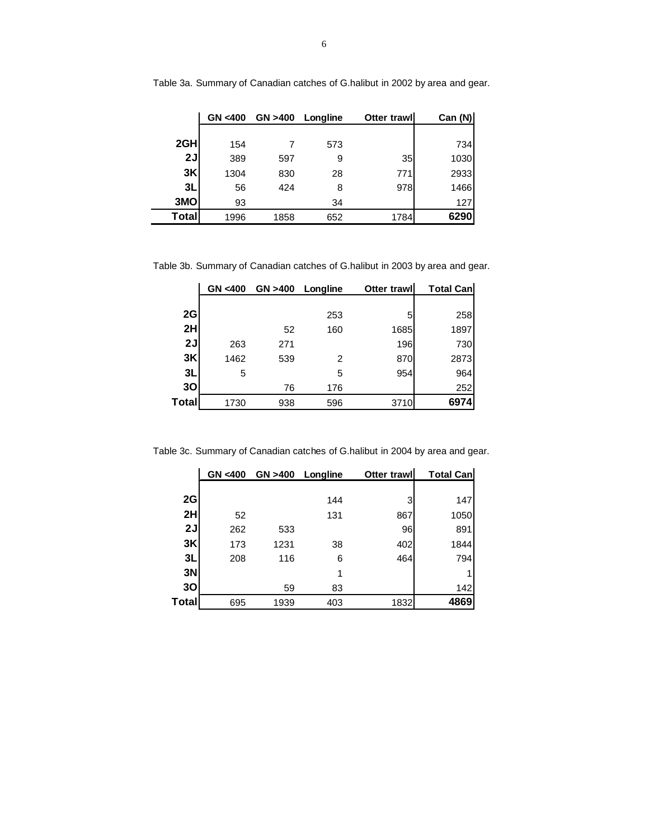|              | <b>GN &lt;400</b> | GN >400 | Longline | Otter trawll | Can (N) |  |  |
|--------------|-------------------|---------|----------|--------------|---------|--|--|
|              |                   |         |          |              |         |  |  |
| 2GH          | 154               |         | 573      |              | 734     |  |  |
| 2J           | 389               | 597     | 9        | 35           | 1030    |  |  |
| 3K           | 1304              | 830     | 28       | 771          | 2933    |  |  |
| 3L           | 56                | 424     | 8        | 978          | 1466    |  |  |
| 3MO          | 93                |         | 34       |              | 127     |  |  |
| <b>Total</b> | 1996              | 1858    | 652      | 1784         | 6290    |  |  |

Table 3a. Summary of Canadian catches of G.halibut in 2002 by area and gear.

Table 3b. Summary of Canadian catches of G.halibut in 2003 by area and gear.

|       | GN <400 | GN >400 | Longline | Otter trawll | <b>Total Can</b> |
|-------|---------|---------|----------|--------------|------------------|
|       |         |         |          |              |                  |
| 2G    |         |         | 253      | 5            | 258              |
| 2H    |         | 52      | 160      | 1685         | 1897             |
| 2J    | 263     | 271     |          | <b>196</b>   | 730              |
| 3K    | 1462    | 539     | 2        | 870          | 2873             |
| 3L    | 5       |         | 5        | 954          | 964              |
| 30    |         | 76      | 176      |              | 252              |
| Total | 1730    | 938     | 596      | 3710         | 6974             |

Table 3c. Summary of Canadian catches of G.halibut in 2004 by area and gear.

|              | GN <400 | GN > 400 | Longline | Otter trawl | <b>Total Can</b> |
|--------------|---------|----------|----------|-------------|------------------|
|              |         |          |          |             |                  |
| 2G           |         |          | 144      | 3           | 147              |
| 2H           | 52      |          | 131      | 867         | 1050             |
| 2J           | 262     | 533      |          | 96          | 891              |
| 3K           | 173     | 1231     | 38       | 402         | 1844             |
| 3L           | 208     | 116      | 6        | 464         | 794              |
| 3N           |         |          |          |             |                  |
| 30           |         | 59       | 83       |             | 142              |
| <b>Total</b> | 695     | 1939     | 403      | 1832        | 4869             |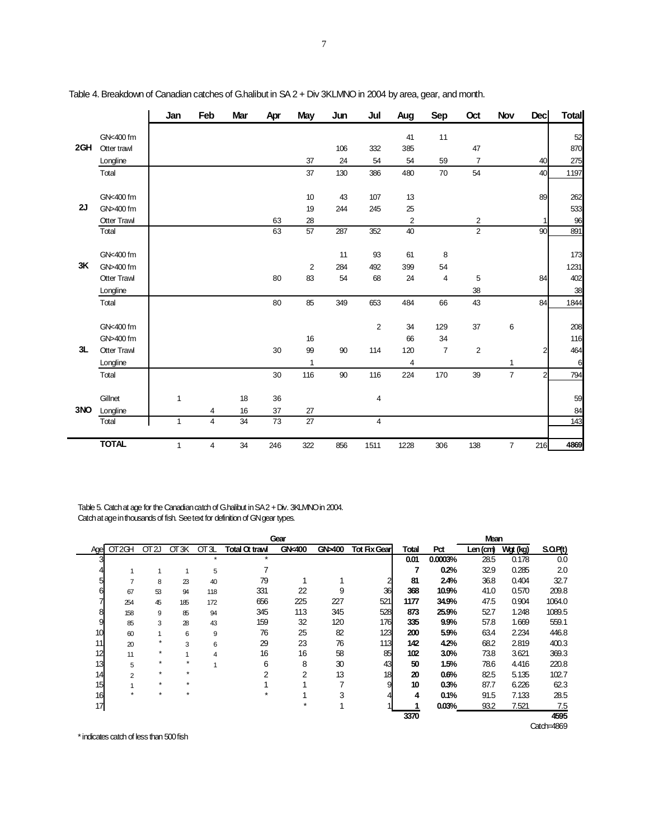|     |                             | Jan          | Feb    | <b>Mar</b> | Apr | <b>May</b>      | Jun    | Jul              | Aug            | <b>Sep</b>     | Oct                                       | Nov            | <b>Dec</b>     | <b>Total</b> |
|-----|-----------------------------|--------------|--------|------------|-----|-----------------|--------|------------------|----------------|----------------|-------------------------------------------|----------------|----------------|--------------|
|     | GN<400 fm                   |              |        |            |     |                 |        |                  | 41             | 11             |                                           |                |                | 52           |
| 2GH | Otter trawl                 |              |        |            |     |                 | 106    | 332              | 385            |                | 47                                        |                |                | 870          |
|     | Longline                    |              |        |            |     | 37              | 24     | 54               | 54             | 59             | $\overline{7}$                            |                | 40             | 275          |
|     | Total                       |              |        |            |     | 37              | 130    | 386              | 480            | 70             | 54                                        |                | 40             | 1197         |
|     |                             |              |        |            |     |                 |        |                  |                |                |                                           |                |                |              |
| 2J  | GN<400 fm<br>GN>400 fm      |              |        |            |     | 10              | 43     | 107              | 13             |                |                                           |                | 89             | 262          |
|     |                             |              |        |            | 63  | 19<br>28        | 244    | 245              | 25             |                |                                           |                |                | 533          |
|     | <b>Otter Trawl</b><br>Total |              |        |            | 63  | 57              | 287    | $\overline{352}$ | 2<br>40        |                | $\overline{\mathbf{c}}$<br>$\overline{2}$ |                | 90             | 96<br>891    |
|     |                             |              |        |            |     |                 |        |                  |                |                |                                           |                |                |              |
|     | GN<400 fm                   |              |        |            |     |                 | 11     | 93               | 61             | 8              |                                           |                |                | 173          |
| 3K  | GN>400 fm                   |              |        |            |     | $\overline{2}$  | 284    | 492              | 399            | 54             |                                           |                |                | 1231         |
|     | <b>Otter Trawl</b>          |              |        |            | 80  | 83              | 54     | 68               | 24             | 4              | 5                                         |                | 84             | 402          |
|     | Longline                    |              |        |            |     |                 |        |                  |                |                | 38                                        |                |                | 38           |
|     | Total                       |              |        |            | 80  | 85              | 349    | 653              | 484            | 66             | 43                                        |                | 84             | 1844         |
|     | GN<400 fm                   |              |        |            |     |                 |        | $\overline{2}$   | 34             | 129            | 37                                        | 6              |                | 208          |
|     | GN>400 fm                   |              |        |            |     | 16              |        |                  | 66             | 34             |                                           |                |                | 116          |
| 3L  | <b>Otter Trawl</b>          |              |        |            | 30  | 99              | 90     | 114              | 120            | $\overline{7}$ | $\overline{c}$                            |                | 2              | 464          |
|     | Longline                    |              |        |            |     | 1               |        |                  | $\overline{4}$ |                |                                           | 1              |                | 6            |
|     | Total                       |              |        |            | 30  | 116             | $90\,$ | 116              | 224            | 170            | 39                                        | $\overline{7}$ | $\overline{a}$ | 794          |
|     | Gillnet                     |              |        | 18         | 36  |                 |        |                  |                |                |                                           |                |                |              |
| 3NO |                             | 1            |        | 16         | 37  | 27              |        | 4                |                |                |                                           |                |                | 59<br>84     |
|     | Longline<br>Total           | $\mathbf{1}$ | 4<br>4 | 34         | 73  | $\overline{27}$ |        | 4                |                |                |                                           |                |                | 143          |
|     |                             |              |        |            |     |                 |        |                  |                |                |                                           |                |                |              |
|     | <b>TOTAL</b>                | 1            | 4      | 34         | 246 | 322             | 856    | 1511             | 1228           | 306            | 138                                       | $\overline{7}$ | 216            | 4869         |

Table 4. Breakdown of Canadian catches of G.halibut in SA 2 + Div 3KLMNO in 2004 by area, gear, and month.

Table 5. Catch at age for the Canadian catch of G.halibut in SA 2 + Div. 3KLMNO in 2004. Catch at age in thousands of fish. See text for definition of GN gear types.

|                 |                    |                   |                   |                   |                       |        | <b>Mean</b> |                     |       |         |          |          |        |
|-----------------|--------------------|-------------------|-------------------|-------------------|-----------------------|--------|-------------|---------------------|-------|---------|----------|----------|--------|
| Age             | OT <sub>2</sub> GH | OT <sub>2</sub> J | OT <sub>3</sub> K | OT <sub>3</sub> L | <b>Total Ot trawl</b> | GN<400 | GN-400      | <b>Tot Fix Gear</b> | Total | Pct     | Len (cm) | Wat (kg) | SOP(t) |
| 3               |                    |                   |                   | $\star$           | $\star$               |        |             |                     | 0.01  | 0.0003% | 28.5     | 0.178    | 0.0    |
|                 |                    |                   |                   | 5                 |                       |        |             |                     | 7     | 0.2%    | 32.9     | 0.285    | 2.0    |
| 5               |                    | 8                 | 23                | 40                | 79                    |        |             | 2                   | 81    | 2.4%    | 36.8     | 0.404    | 32.7   |
| 6               | 67                 | 53                | 94                | 118               | 331                   | 22     | 9           | 36                  | 368   | 10.9%   | 41.0     | 0.570    | 209.8  |
|                 | 254                | 45                | 185               | 172               | 656                   | 225    | 227         | 521                 | 1177  | 34.9%   | 47.5     | 0.904    | 1064.0 |
| 8               | 158                | 9                 | 85                | 94                | 345                   | 113    | 345         | 528                 | 873   | 25.9%   | 52.7     | 1.248    | 1089.5 |
| 9               | 85                 | 3                 | 28                | 43                | 159                   | 32     | 120         | 176                 | 335   | 9.9%    | 57.8     | 1.669    | 559.1  |
| 10 <sub>1</sub> | 60                 |                   | 6                 | 9                 | 76                    | 25     | 82          | 123                 | 200   | 5.9%    | 63.4     | 2.234    | 446.8  |
| 11              | 20                 | $\star$           | 3                 | 6                 | 29                    | 23     | 76          | 113                 | 142   | 4.2%    | 68.2     | 2.819    | 400.3  |
| 12              | 11                 | $\star$           |                   | 4                 | 16                    | 16     | 58          | 85                  | 102   | 3.0%    | 73.8     | 3.621    | 369.3  |
| 13              | 5                  | $\star$           |                   |                   | 6                     | 8      | 30          | 43                  | 50    | 1.5%    | 78.6     | 4.416    | 220.8  |
| 14              | 2                  | $\star$           | $\star$           |                   | $\overline{2}$        | 2      | 13          | 18                  | 20    | 0.6%    | 82.5     | 5.135    | 102.7  |
| 15              |                    | $\star$           |                   |                   |                       |        | ⇁           | 9                   | 10    | 0.3%    | 87.7     | 6.226    | 62.3   |
| 16              |                    | $\star$           |                   |                   |                       |        | 3           |                     | 4     | 0.1%    | 91.5     | 7.133    | 28.5   |
| 17              |                    |                   |                   |                   |                       |        |             |                     |       | 0.03%   | 93.2     | 7.521    | 7.5    |
|                 |                    |                   |                   |                   |                       |        |             |                     | 3370  |         |          |          | 4595   |

Catch=4869

\* indicates catch of less than 500 fish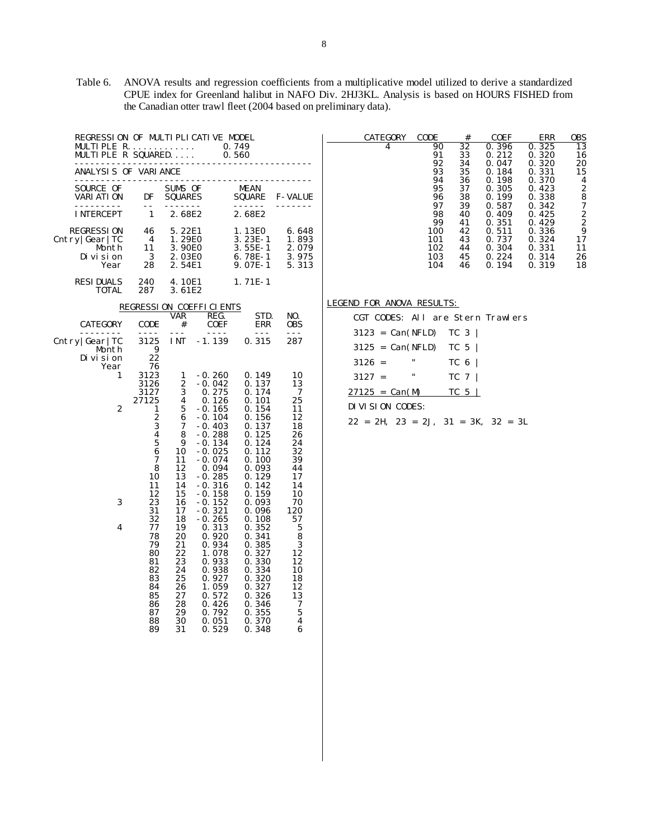Table 6. ANOVA results and regression coefficients from a multiplicative model utilized to derive a standardized CPUE index for Greenland halibut in NAFO Div. 2HJ3KL. Analysis is based on HOURS FISHED from the Canadian otter trawl fleet (2004 based on preliminary data).

| REGRESSION OF MULTIPLICATIVE MODEL<br>MULTIPLE R<br>MULTIPLE R SQUARED |                          |                                                |                         | 0.749<br>0.560                                               |                                           | CATEGORY<br>CODE<br><b>ERR</b><br>0BS<br>#<br>COEF<br>$\overline{13}$<br>32<br>0.396<br>4<br>90<br>0.325<br>91<br>0.212<br>0.320<br>16<br>33                                    |
|------------------------------------------------------------------------|--------------------------|------------------------------------------------|-------------------------|--------------------------------------------------------------|-------------------------------------------|---------------------------------------------------------------------------------------------------------------------------------------------------------------------------------|
| ANALYSIS OF VARIANCE                                                   |                          |                                                |                         |                                                              |                                           | 92<br>20<br>34<br>0.047<br>0.320<br>93<br>0.331<br>15<br>35<br>0.184                                                                                                            |
| SOURCE OF<br>VARI ATI ON                                               | DF<br>$- -$              | SUMS OF<br>SQUARES<br>-------                  |                         | MEAN<br>SQUARE<br>------                                     | <b>F-VALUE</b>                            | 94<br>0.370<br>4<br>36<br>0.198<br>$\overline{2}$<br>95<br>37<br>0.305<br>0.423<br>$\frac{8}{7}$<br>0.338<br>96<br>38<br>0.199<br>97<br>0.587<br>0.342<br>39                    |
| <b>INTERCEPT</b>                                                       | $\mathbf{1}$             | 2.68E2                                         |                         | 2.68E2                                                       |                                           | $\frac{2}{2}$<br>98<br>0.425<br>40<br>0.409<br>99<br>0.351<br>0.429<br>41                                                                                                       |
| <b>REGRESSION</b><br>Chtry Gear TC<br>Month<br>Di vi si on<br>Year     | 46<br>4<br>11<br>3<br>28 | 5.22E1<br>1.29E0<br>3.90E0<br>2.03E0<br>2.54E1 |                         | 1.13E0<br>$3.23E-1$<br>$3.55E-1$<br>$6.78E-1$<br>$9.07E - 1$ | 6.648<br>1.893<br>2.079<br>3.975<br>5.313 | 0.511<br>0.336<br>100<br>42<br>0.737<br>0.324<br>17<br>101<br>43<br>0.304<br>0.331<br>102<br>44<br>11<br>103<br>45<br>0.224<br>0.314<br>26<br>0.319<br>18<br>104<br>0.194<br>46 |
| <b>RESIDUALS</b><br>TOTAL                                              | 240<br>287               | 4.10E1<br>3.61E2                               |                         | $1.71E - 1$                                                  |                                           |                                                                                                                                                                                 |
|                                                                        |                          |                                                | REGRESSION COEFFICIENTS |                                                              |                                           | LEGEND FOR ANOVA RESULTS:                                                                                                                                                       |
| CATEGORY                                                               | CODE                     | VAR<br>#                                       | REG.<br>COEF            | STD.<br>ERR                                                  | NO.<br>0BS                                | CGT CODES: All are Stern Trawlers                                                                                                                                               |
| $- - -$<br>Chtry Gear TC                                               | $- - - -$<br>3125        | $- - -$<br>I NT                                | $- - - -$<br>$-1.139$   | $- - -$<br>0.315                                             | $- - -$<br>287                            | $3123 = Can(NFLD)$<br>$TC_3$                                                                                                                                                    |
| Month<br>Di vi si on                                                   | 9<br>22                  |                                                |                         |                                                              |                                           | $3125 = Can(NFLD)$<br>TC 5<br>π<br>$3126 =$<br>TC 6                                                                                                                             |
| Year<br>1                                                              | 76<br>3123               | 1                                              | $-0.260$                | 0.149                                                        | 10                                        | π<br>$3127 =$<br>TC $7$                                                                                                                                                         |
|                                                                        | 3126<br>3127             | $\overline{2}$<br>3                            | $-0.042$<br>0.275       | 0.137<br>0.174                                               | 13<br>7                                   | TC <sub>5</sub><br>$27125 = Can(M)$                                                                                                                                             |
| 2                                                                      | 27125<br>1               | 4<br>5                                         | 0.126<br>$-0.165$       | 0.101<br>0.154                                               | 25<br>11                                  | DIVISION CODES:                                                                                                                                                                 |
|                                                                        | 2<br>3                   | 6<br>7                                         | $-0.104$<br>$-0.403$    | 0.156<br>0.137                                               | 12<br>18                                  | $22 = 2H$ , $23 = 2J$ , $31 = 3K$ , $32 = 3L$                                                                                                                                   |
|                                                                        | 4                        | 8                                              | $-0.288$                | 0.125                                                        | 26                                        |                                                                                                                                                                                 |
|                                                                        | 5<br>6                   | 9<br>10                                        | $-0.134$<br>$-0.025$    | 0.124<br>0.112                                               | 24<br>32                                  |                                                                                                                                                                                 |
|                                                                        | 7<br>8                   | 11<br>12                                       | $-0.074$<br>0.094       | 0.100<br>0.093                                               | 39<br>44                                  |                                                                                                                                                                                 |
|                                                                        | 10<br>11                 | 13<br>14                                       | $-0.285$<br>$-0.316$    | 0.129<br>0.142                                               | 17<br>14                                  |                                                                                                                                                                                 |
|                                                                        | 12                       | 15                                             | $-0.158$                | 0.159                                                        | 10                                        |                                                                                                                                                                                 |
| 3                                                                      | 23<br>31                 | 16<br>17                                       | $-0.152$<br>$-0.321$    | 0.093<br>0.096                                               | 70<br>120                                 |                                                                                                                                                                                 |
| 4                                                                      | 32<br>77                 | 18<br>19                                       | $-0.265$<br>0.313       | 0.108<br>0.352                                               | 57<br>5                                   |                                                                                                                                                                                 |
|                                                                        | 78<br>79                 | 20<br>21                                       | 0.920<br>0.934          | 0.341<br>0.385                                               | 8<br>3                                    |                                                                                                                                                                                 |
|                                                                        | 80                       | 22                                             | 1.078                   | 0.327                                                        | 12                                        |                                                                                                                                                                                 |
|                                                                        | 81<br>82                 | 23<br>24                                       | 0.933<br>0.938          | 0.330<br>0.334                                               | 12<br>10                                  |                                                                                                                                                                                 |
|                                                                        | 83<br>84                 | 25<br>26                                       | 0.927<br>1.059          | 0.320<br>0.327                                               | 18<br>12                                  |                                                                                                                                                                                 |
|                                                                        | 85<br>86                 | 27<br>28                                       | 0.572<br>0.426          | 0.326<br>0.346                                               | 13<br>7                                   |                                                                                                                                                                                 |
|                                                                        | 87<br>88                 | 29<br>30                                       | 0.792<br>0.051          | 0.355<br>0.370                                               | 5<br>4                                    |                                                                                                                                                                                 |
|                                                                        | 89                       | 31                                             | 0.529                   | 0.348                                                        | 6                                         |                                                                                                                                                                                 |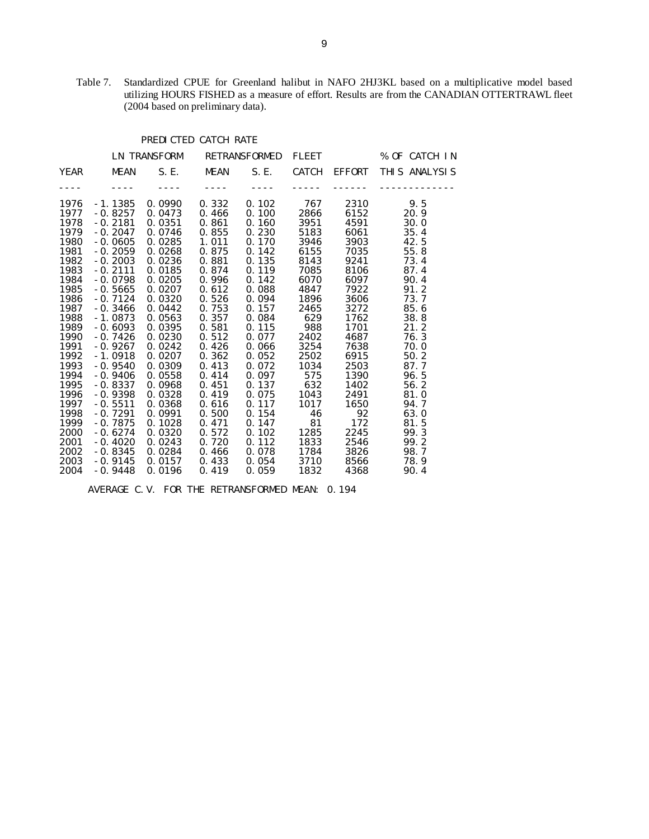Table 7. Standardized CPUE for Greenland halibut in NAFO 2HJ3KL based on a multiplicative model based utilizing HOURS FISHED as a measure of effort. Results are from the CANADIAN OTTERTRAWL fleet (2004 based on preliminary data).

# PREDICTED CATCH RATE

AVERAGE C.V. FOR THE RETRANSFORMED MEAN: 0.194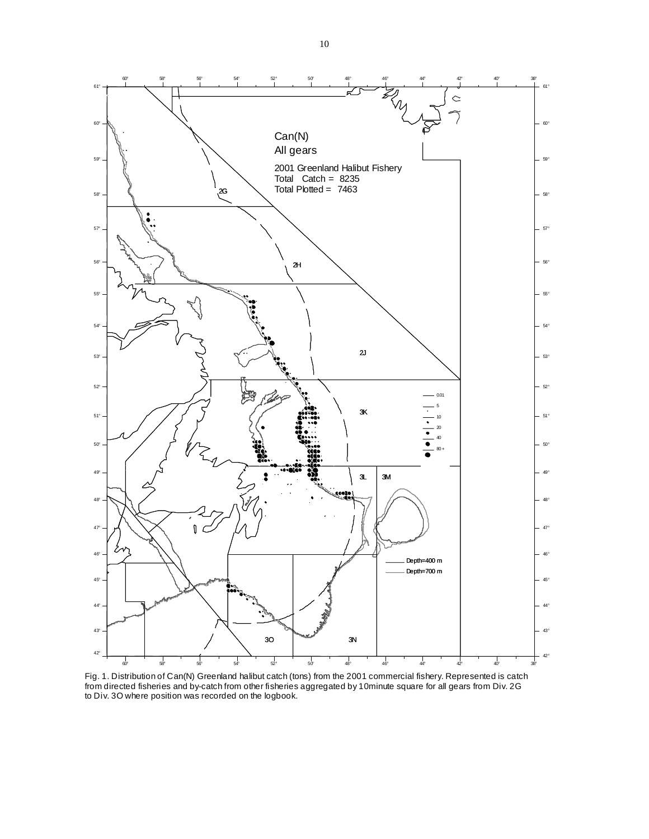

Fig. 1. Distribution of Can(N) Greenland halibut catch (tons) from the 2001 commercial fishery. Represented is catch from directed fisheries and by-catch from other fisheries aggregated by 10minute square for all gears from Div. 2G to Div. 3O where position was recorded on the logbook.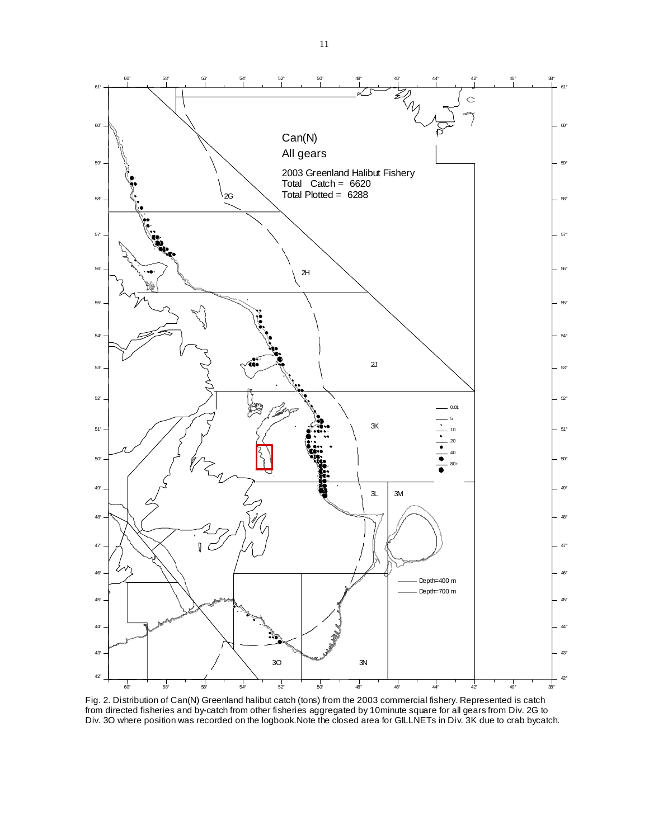

Fig. 2. Distribution of Can(N) Greenland halibut catch (tons) from the 2003 commercial fishery. Represented is catch from directed fisheries and by-catch from other fisheries aggregated by 10minute square for all gears from Div. 2G to Div. 3O where position was recorded on the logbook.Note the closed area for GILLNETs in Div. 3K due to crab bycatch.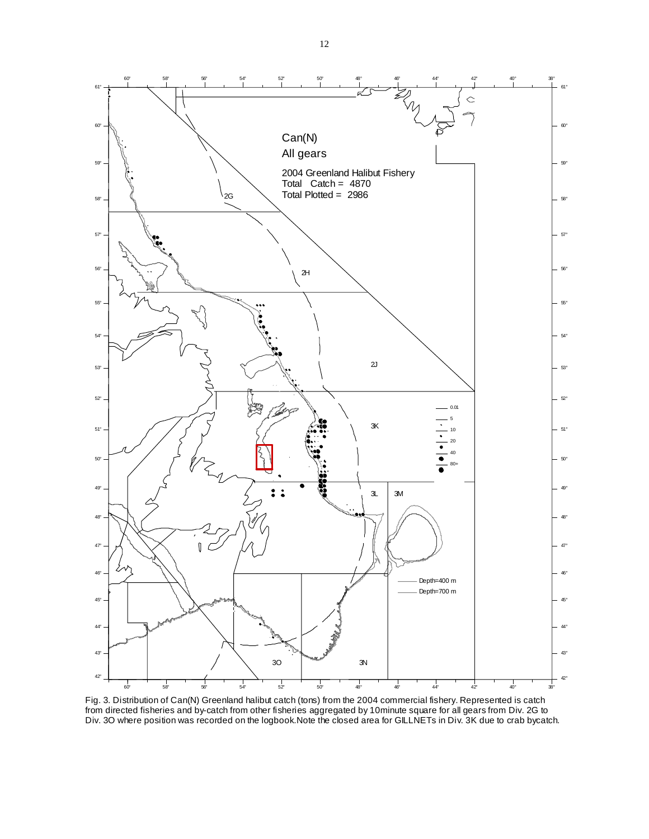

Fig. 3. Distribution of Can(N) Greenland halibut catch (tons) from the 2004 commercial fishery. Represented is catch from directed fisheries and by-catch from other fisheries aggregated by 10minute square for all gears from Div. 2G to Div. 3O where position was recorded on the logbook.Note the closed area for GILLNETs in Div. 3K due to crab bycatch.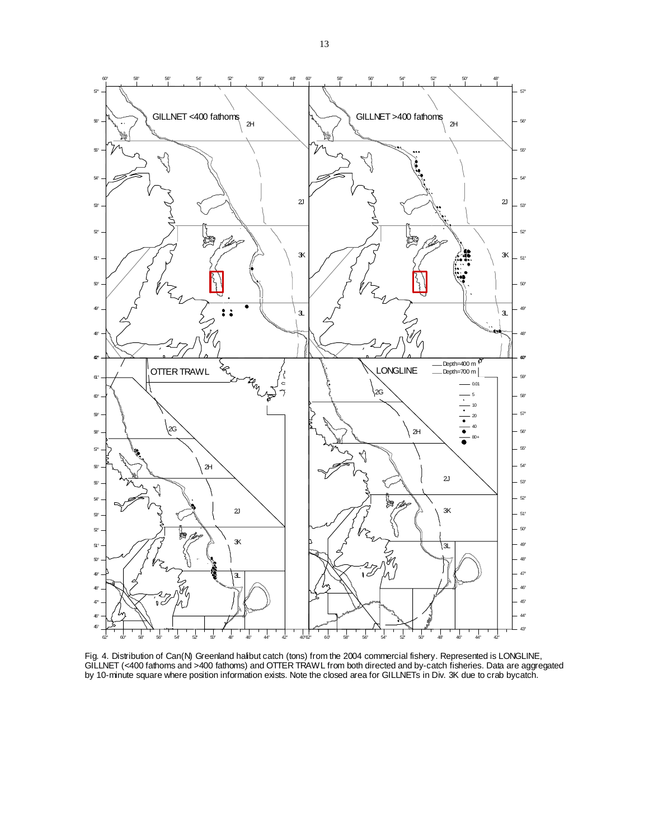

Fig. 4. Distribution of Can(N) Greenland halibut catch (tons) from the 2004 commercial fishery. Represented is LONGLINE, GILLNET (<400 fathoms and >400 fathoms) and OTTER TRAWL from both directed and by-catch fisheries. Data are aggregated by 10-minute square where position information exists. Note the closed area for GILLNETs in Div. 3K due to crab bycatch.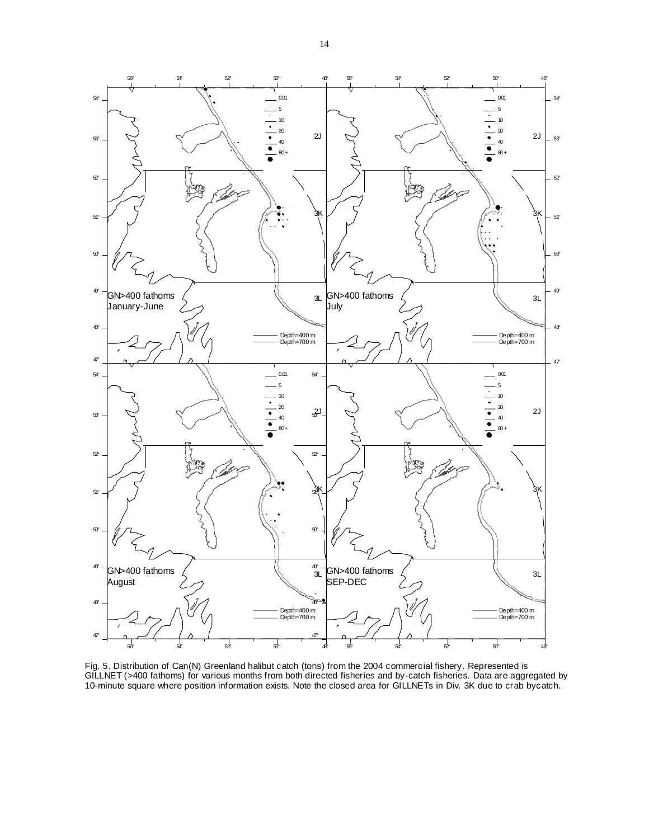

Fig. 5. Distribution of Can(N) Greenland halibut catch (tons) from the 2004 commercial fishery. Represented is GILLNET (>400 fathoms) for various months from both directed fisheries and by-catch fisheries. Data are aggregated by 10-minute square where position information exists. Note the closed area for GILLNETs in Div. 3K due to crab bycatch.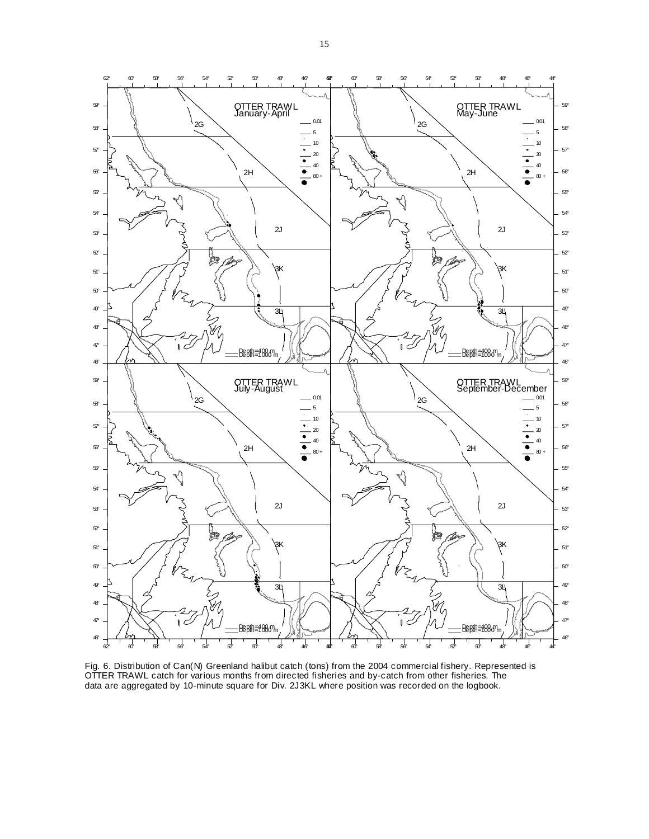

Fig. 6. Distribution of Can(N) Greenland halibut catch (tons) from the 2004 commercial fishery. Represented is OTTER TRAWL catch for various months from directed fisheries and by-catch from other fisheries. The data are aggregated by 10-minute square for Div. 2J3KL where position was recorded on the logbook.